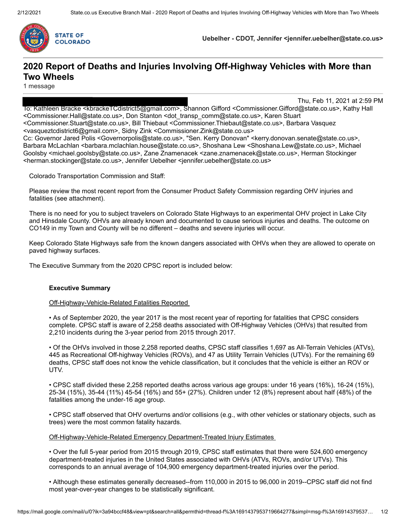

**Uebelher - CDOT, Jennifer <jennifer.uebelher@state.co.us>**

### **2020 Report of Deaths and Injuries Involving Off-Highway Vehicles with More than Two Wheels**

1 message

Thu, Feb 11, 2021 at 2:59 PM To: Kathleen Bracke <kbrackeTCdistrict5@gmail.com>, Shannon Gifford <Commissioner.Gifford@state.co.us>, Kathy Hall <Commissioner.Hall@state.co.us>, Don Stanton <dot\_transp\_comm@state.co.us>, Karen Stuart <Commissioner.Stuart@state.co.us>, Bill Thiebaut <Commissioner.Thiebaut@state.co.us>, Barbara Vasquez <vasqueztcdistrict6@gmail.com>, Sidny Zink <Commissioner.Zink@state.co.us> Cc: Governor Jared Polis <Governorpolis@state.co.us>, "Sen. Kerry Donovan" <kerry.donovan.senate@state.co.us>, Barbara McLachlan <barbara.mclachlan.house@state.co.us>, Shoshana Lew <Shoshana.Lew@state.co.us>, Michael Goolsby <michael.goolsby@state.co.us>, Zane Znamenacek <zane.znamenacek@state.co.us>, Herman Stockinger <herman.stockinger@state.co.us>, Jennifer Uebelher <jennifer.uebelher@state.co.us>

Colorado Transportation Commission and Staff:

Please review the most recent report from the Consumer Product Safety Commission regarding OHV injuries and fatalities (see attachment).

There is no need for you to subject travelers on Colorado State Highways to an experimental OHV project in Lake City and Hinsdale County. OHVs are already known and documented to cause serious injuries and deaths. The outcome on CO149 in my Town and County will be no different – deaths and severe injuries will occur.

Keep Colorado State Highways safe from the known dangers associated with OHVs when they are allowed to operate on paved highway surfaces.

The Executive Summary from the 2020 CPSC report is included below:

#### **Executive Summary**

Off-Highway-Vehicle-Related Fatalities Reported

• As of September 2020, the year 2017 is the most recent year of reporting for fatalities that CPSC considers complete. CPSC staff is aware of 2,258 deaths associated with Off-Highway Vehicles (OHVs) that resulted from 2,210 incidents during the 3-year period from 2015 through 2017.

• Of the OHVs involved in those 2,258 reported deaths, CPSC staff classifies 1,697 as All-Terrain Vehicles (ATVs), 445 as Recreational Off-highway Vehicles (ROVs), and 47 as Utility Terrain Vehicles (UTVs). For the remaining 69 deaths, CPSC staff does not know the vehicle classification, but it concludes that the vehicle is either an ROV or UTV.

• CPSC staff divided these 2,258 reported deaths across various age groups: under 16 years (16%), 16-24 (15%), 25-34 (15%), 35-44 (11%) 45-54 (16%) and 55+ (27%). Children under 12 (8%) represent about half (48%) of the fatalities among the under-16 age group.

• CPSC staff observed that OHV overturns and/or collisions (e.g., with other vehicles or stationary objects, such as trees) were the most common fatality hazards.

Off-Highway-Vehicle-Related Emergency Department-Treated Injury Estimates

• Over the full 5-year period from 2015 through 2019, CPSC staff estimates that there were 524,600 emergency department-treated injuries in the United States associated with OHVs (ATVs, ROVs, and/or UTVs). This corresponds to an annual average of 104,900 emergency department-treated injuries over the period.

• Although these estimates generally decreased--from 110,000 in 2015 to 96,000 in 2019--CPSC staff did not find most year-over-year changes to be statistically significant.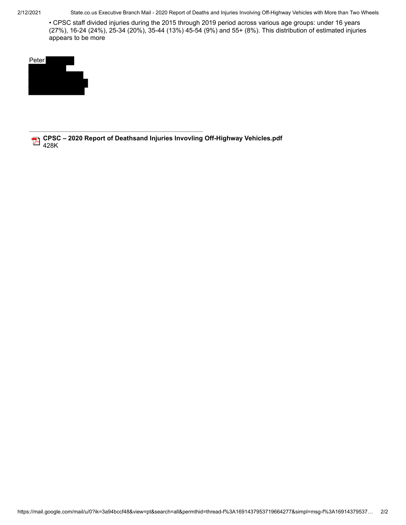2/12/2021 State.co.us Executive Branch Mail - 2020 Report of Deaths and Injuries Involving Off-Highway Vehicles with More than Two Wheels

• CPSC staff divided injuries during the 2015 through 2019 period across various age groups: under 16 years (27%), 16-24 (24%), 25-34 (20%), 35-44 (13%) 45-54 (9%) and 55+ (8%). This distribution of estimated injuries appears to be more



**CPSC – 2020 Report of Deathsand Injuries Invovling Off-Highway Vehicles.pdf** 428K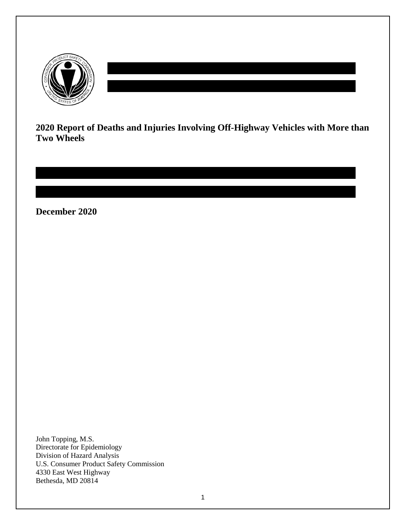

**2020 Report of Deaths and Injuries Involving Off-Highway Vehicles with More than Two Wheels**

**December 2020**

John Topping, M.S. Directorate for Epidemiology Division of Hazard Analysis U.S. Consumer Product Safety Commission 4330 East West Highway Bethesda, MD 20814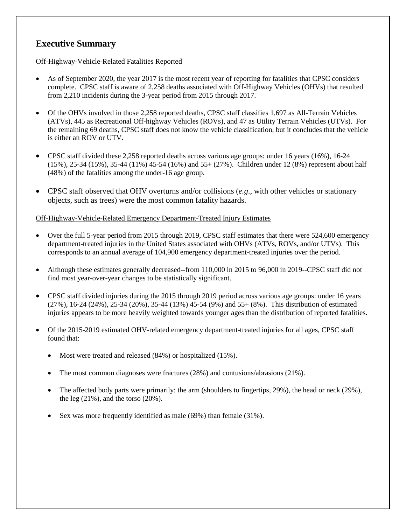### **Executive Summary**

#### Off-Highway-Vehicle-Related Fatalities Reported

- As of September 2020, the year 2017 is the most recent year of reporting for fatalities that CPSC considers complete. CPSC staff is aware of 2,258 deaths associated with Off-Highway Vehicles (OHVs) that resulted from 2,210 incidents during the 3-year period from 2015 through 2017.
- Of the OHVs involved in those 2,258 reported deaths, CPSC staff classifies 1,697 as All-Terrain Vehicles (ATVs), 445 as Recreational Off-highway Vehicles (ROVs), and 47 as Utility Terrain Vehicles (UTVs). For the remaining 69 deaths, CPSC staff does not know the vehicle classification, but it concludes that the vehicle is either an ROV or UTV.
- CPSC staff divided these 2,258 reported deaths across various age groups: under 16 years (16%), 16-24 (15%), 25-34 (15%), 35-44 (11%) 45-54 (16%) and 55+ (27%). Children under 12 (8%) represent about half (48%) of the fatalities among the under-16 age group.
- CPSC staff observed that OHV overturns and/or collisions (*e.g*., with other vehicles or stationary objects, such as trees) were the most common fatality hazards.

#### Off-Highway-Vehicle-Related Emergency Department-Treated Injury Estimates

- Over the full 5-year period from 2015 through 2019, CPSC staff estimates that there were 524,600 emergency department-treated injuries in the United States associated with OHVs (ATVs, ROVs, and/or UTVs). This corresponds to an annual average of 104,900 emergency department-treated injuries over the period.
- Although these estimates generally decreased--from 110,000 in 2015 to 96,000 in 2019--CPSC staff did not find most year-over-year changes to be statistically significant.
- CPSC staff divided injuries during the 2015 through 2019 period across various age groups: under 16 years (27%), 16-24 (24%), 25-34 (20%), 35-44 (13%) 45-54 (9%) and 55+ (8%). This distribution of estimated injuries appears to be more heavily weighted towards younger ages than the distribution of reported fatalities.
- Of the 2015-2019 estimated OHV-related emergency department-treated injuries for all ages, CPSC staff found that:
	- Most were treated and released (84%) or hospitalized (15%).
	- The most common diagnoses were fractures (28%) and contusions/abrasions (21%).
	- The affected body parts were primarily: the arm (shoulders to fingertips, 29%), the head or neck (29%), the leg  $(21\%)$ , and the torso  $(20\%)$ .
	- Sex was more frequently identified as male (69%) than female (31%).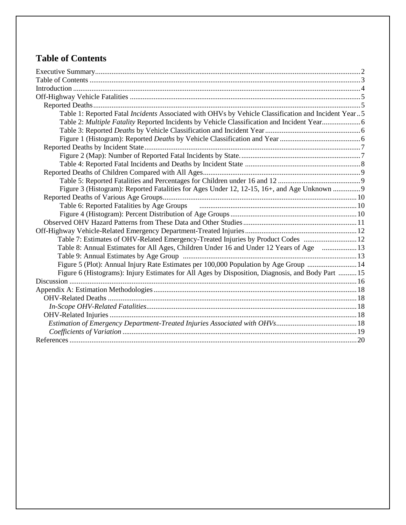# **Table of Contents**

| Table 1: Reported Fatal Incidents Associated with OHVs by Vehicle Classification and Incident Year5                                           |  |
|-----------------------------------------------------------------------------------------------------------------------------------------------|--|
| Table 2: Multiple Fatality Reported Incidents by Vehicle Classification and Incident Year6                                                    |  |
|                                                                                                                                               |  |
|                                                                                                                                               |  |
|                                                                                                                                               |  |
|                                                                                                                                               |  |
|                                                                                                                                               |  |
|                                                                                                                                               |  |
|                                                                                                                                               |  |
| Figure 3 (Histogram): Reported Fatalities for Ages Under 12, 12-15, 16+, and Age Unknown  9                                                   |  |
|                                                                                                                                               |  |
| Table 6: Reported Fatalities by Age Groups (and all the material continuum material contracts) and Table 6: Reported Fatalities by Age Groups |  |
|                                                                                                                                               |  |
|                                                                                                                                               |  |
|                                                                                                                                               |  |
| Table 7: Estimates of OHV-Related Emergency-Treated Injuries by Product Codes  12                                                             |  |
| Table 8: Annual Estimates for All Ages, Children Under 16 and Under 12 Years of Age  13                                                       |  |
|                                                                                                                                               |  |
| Figure 5 (Plot): Annual Injury Rate Estimates per 100,000 Population by Age Group 14                                                          |  |
| Figure 6 (Histograms): Injury Estimates for All Ages by Disposition, Diagnosis, and Body Part  15                                             |  |
|                                                                                                                                               |  |
|                                                                                                                                               |  |
|                                                                                                                                               |  |
|                                                                                                                                               |  |
|                                                                                                                                               |  |
|                                                                                                                                               |  |
|                                                                                                                                               |  |
|                                                                                                                                               |  |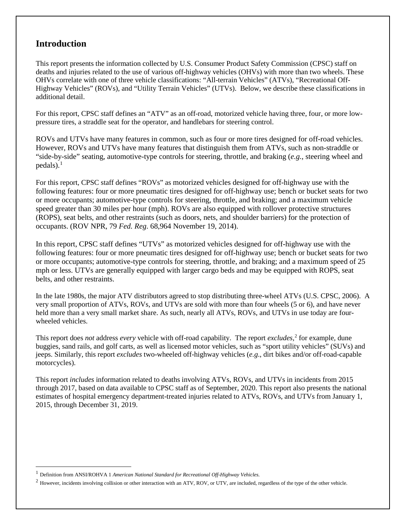### **Introduction**

 $\overline{a}$ 

This report presents the information collected by U.S. Consumer Product Safety Commission (CPSC) staff on deaths and injuries related to the use of various off-highway vehicles (OHVs) with more than two wheels. These OHVs correlate with one of three vehicle classifications: "All-terrain Vehicles" (ATVs), "Recreational Off-Highway Vehicles" (ROVs), and "Utility Terrain Vehicles" (UTVs). Below, we describe these classifications in additional detail.

For this report, CPSC staff defines an "ATV" as an off-road, motorized vehicle having three, four, or more lowpressure tires, a straddle seat for the operator, and handlebars for steering control.

ROVs and UTVs have many features in common, such as four or more tires designed for off-road vehicles. However, ROVs and UTVs have many features that distinguish them from ATVs, such as non-straddle or "side-by-side" seating, automotive-type controls for steering, throttle, and braking (*e.g.*, steering wheel and  $\text{pedals}$ ).<sup>[1](#page-5-0)</sup>

For this report, CPSC staff defines "ROVs" as motorized vehicles designed for off-highway use with the following features: four or more pneumatic tires designed for off-highway use; bench or bucket seats for two or more occupants; automotive-type controls for steering, throttle, and braking; and a maximum vehicle speed greater than 30 miles per hour (mph). ROVs are also equipped with rollover protective structures (ROPS), seat belts, and other restraints (such as doors, nets, and shoulder barriers) for the protection of occupants. (ROV NPR, 79 *Fed. Reg*. 68,964 November 19, 2014).

In this report, CPSC staff defines "UTVs" as motorized vehicles designed for off-highway use with the following features: four or more pneumatic tires designed for off-highway use; bench or bucket seats for two or more occupants; automotive-type controls for steering, throttle, and braking; and a maximum speed of 25 mph or less. UTVs are generally equipped with larger cargo beds and may be equipped with ROPS, seat belts, and other restraints.

In the late 1980s, the major ATV distributors agreed to stop distributing three-wheel ATVs (U.S. CPSC, 2006). A very small proportion of ATVs, ROVs, and UTVs are sold with more than four wheels (5 or 6), and have never held more than a very small market share. As such, nearly all ATVs, ROVs, and UTVs in use today are fourwheeled vehicles.

This report does *not* address *every* vehicle with off-road capability. The report *excludes,* [2](#page-5-1) for example, dune buggies, sand rails, and golf carts, as well as licensed motor vehicles, such as "sport utility vehicles" (SUVs) and jeeps. Similarly, this report *excludes* two-wheeled off-highway vehicles (*e.g*., dirt bikes and/or off-road-capable motorcycles).

This report *includes* information related to deaths involving ATVs, ROVs, and UTVs in incidents from 2015 through 2017, based on data available to CPSC staff as of September, 2020. This report also presents the national estimates of hospital emergency department-treated injuries related to ATVs, ROVs, and UTVs from January 1, 2015, through December 31, 2019.

<span id="page-5-0"></span><sup>1</sup> Definition from ANSI/ROHVA 1 *American National Standard for Recreational Off-Highway Vehicles.*

<span id="page-5-1"></span><sup>&</sup>lt;sup>2</sup> However, incidents involving collision or other interaction with an ATV, ROV, or UTV, are included, regardless of the type of the other vehicle.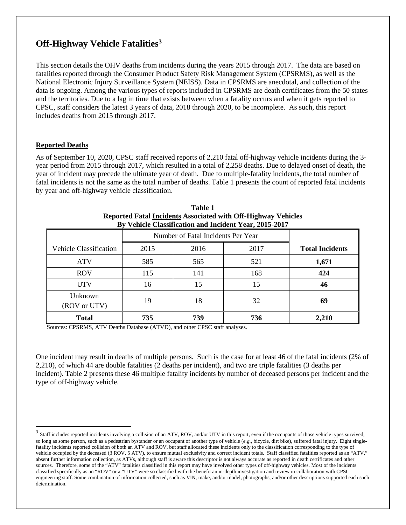### **Off-Highway Vehicle Fatalities[3](#page-6-0)**

This section details the OHV deaths from incidents during the years 2015 through 2017. The data are based on fatalities reported through the Consumer Product Safety Risk Management System (CPSRMS), as well as the National Electronic Injury Surveillance System (NEISS). Data in CPSRMS are anecdotal, and collection of the data is ongoing. Among the various types of reports included in CPSRMS are death certificates from the 50 states and the territories. Due to a lag in time that exists between when a fatality occurs and when it gets reported to CPSC, staff considers the latest 3 years of data, 2018 through 2020, to be incomplete. As such, this report includes deaths from 2015 through 2017.

#### **Reported Deaths**

 $\ddot{\phantom{a}}$ 

As of September 10, 2020, CPSC staff received reports of 2,210 fatal off-highway vehicle incidents during the 3 year period from 2015 through 2017, which resulted in a total of 2,258 deaths. Due to delayed onset of death, the year of incident may precede the ultimate year of death. Due to multiple-fatality incidents, the total number of fatal incidents is not the same as the total number of deaths. Table 1 presents the count of reported fatal incidents by year and off-highway vehicle classification.

| Dy vence Classification and incluent Fear, 2013-2017 |                                    |      |      |                        |  |  |  |  |
|------------------------------------------------------|------------------------------------|------|------|------------------------|--|--|--|--|
|                                                      | Number of Fatal Incidents Per Year |      |      |                        |  |  |  |  |
| <b>Vehicle Classification</b>                        | 2015                               | 2016 | 2017 | <b>Total Incidents</b> |  |  |  |  |
| <b>ATV</b>                                           | 585                                | 565  | 521  | 1,671                  |  |  |  |  |
| <b>ROV</b>                                           | 115                                | 141  | 168  | 424                    |  |  |  |  |
| <b>UTV</b>                                           | 16                                 | 15   | 15   | 46                     |  |  |  |  |
| Unknown<br>(ROV or UTV)                              | 19                                 | 18   | 32   | 69                     |  |  |  |  |
| <b>Total</b>                                         | 735                                | 739  | 736  | 2,210                  |  |  |  |  |

| Table 1                                                              |
|----------------------------------------------------------------------|
| <b>Reported Fatal Incidents Associated with Off-Highway Vehicles</b> |
| By Vehicle Classification and Incident Year, 2015-2017               |

Sources: CPSRMS, ATV Deaths Database (ATVD), and other CPSC staff analyses.

One incident may result in deaths of multiple persons. Such is the case for at least 46 of the fatal incidents (2% of 2,210), of which 44 are double fatalities (2 deaths per incident), and two are triple fatalities (3 deaths per incident). Table 2 presents these 46 multiple fatality incidents by number of deceased persons per incident and the type of off-highway vehicle.

<span id="page-6-0"></span> $3$  Staff includes reported incidents involving a collision of an ATV, ROV, and/or UTV in this report, even if the occupants of those vehicle types survived, so long as some person, such as a pedestrian bystander or an occupant of another type of vehicle (*e.g.*, bicycle, dirt bike), suffered fatal injury. Eight singlefatality incidents reported collision of both an ATV and ROV, but staff allocated these incidents only to the classification corresponding to the type of vehicle occupied by the deceased (3 ROV, 5 ATV), to ensure mutual exclusivity and correct incident totals. Staff classified fatalities reported as an "ATV," absent further information collection, as ATVs, although staff is aware this descriptor is not always accurate as reported in death certificates and other sources. Therefore, some of the "ATV" fatalities classified in this report may have involved other types of off-highway vehicles. Most of the incidents classified specifically as an "ROV" or a "UTV" were so classified with the benefit an in-depth investigation and review in collaboration with CPSC engineering staff. Some combination of information collected, such as VIN, make, and/or model, photographs, and/or other descriptions supported each such determination.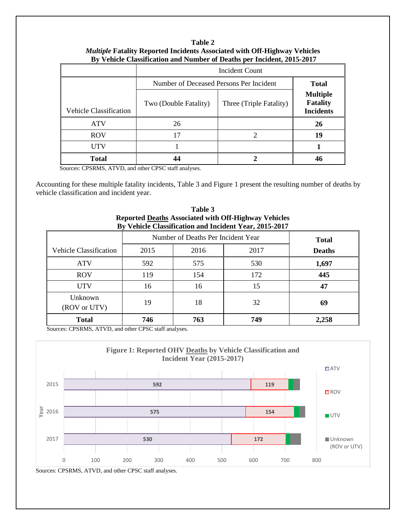#### **Table 2** *Multiple* **Fatality Reported Incidents Associated with Off-Highway Vehicles By Vehicle Classification and Number of Deaths per Incident, 2015-2017**

|                               | <b>Incident Count</b>                   |                                                        |    |  |  |  |  |
|-------------------------------|-----------------------------------------|--------------------------------------------------------|----|--|--|--|--|
|                               | Number of Deceased Persons Per Incident | <b>Total</b>                                           |    |  |  |  |  |
| <b>Vehicle Classification</b> | Two (Double Fatality)                   | <b>Multiple</b><br><b>Fatality</b><br><b>Incidents</b> |    |  |  |  |  |
| <b>ATV</b>                    | 26                                      |                                                        | 26 |  |  |  |  |
| <b>ROV</b>                    | 17                                      | 2                                                      | 19 |  |  |  |  |
| UTV                           |                                         |                                                        |    |  |  |  |  |
| <b>Total</b>                  | 44                                      |                                                        | 46 |  |  |  |  |

Sources: CPSRMS, ATVD, and other CPSC staff analyses.

Accounting for these multiple fatality incidents, Table 3 and Figure 1 present the resulting number of deaths by vehicle classification and incident year.

| Table 3                                                     |
|-------------------------------------------------------------|
| <b>Reported Deaths Associated with Off-Highway Vehicles</b> |
| By Vehicle Classification and Incident Year, 2015-2017      |

|                               | Number of Deaths Per Incident Year | <b>Total</b> |               |       |
|-------------------------------|------------------------------------|--------------|---------------|-------|
| <b>Vehicle Classification</b> | 2015                               | 2016         | <b>Deaths</b> |       |
| <b>ATV</b>                    | 592                                | 575          | 530           | 1,697 |
| <b>ROV</b>                    | 119                                | 154          | 172           | 445   |
| <b>UTV</b>                    | 16                                 | 16           | 15            | 47    |
| Unknown<br>(ROV or UTV)       | 19                                 | 18           | 32            | 69    |
| <b>Total</b>                  | 746                                | 763          | 749           | 2,258 |

Sources: CPSRMS, ATVD, and other CPSC staff analyses.



Sources: CPSRMS, ATVD, and other CPSC staff analyses.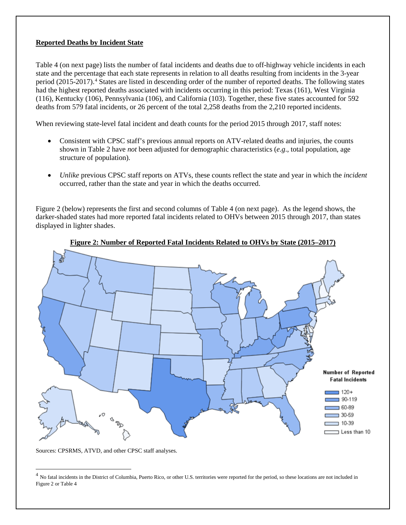#### **Reported Deaths by Incident State**

Table 4 (on next page) lists the number of fatal incidents and deaths due to off-highway vehicle incidents in each state and the percentage that each state represents in relation to all deaths resulting from incidents in the 3-year period (2015-2017).[4](#page-8-0) States are listed in descending order of the number of reported deaths. The following states had the highest reported deaths associated with incidents occurring in this period: Texas (161), West Virginia (116), Kentucky (106), Pennsylvania (106), and California (103). Together, these five states accounted for 592 deaths from 579 fatal incidents, or 26 percent of the total 2,258 deaths from the 2,210 reported incidents.

When reviewing state-level fatal incident and death counts for the period 2015 through 2017, staff notes:

- Consistent with CPSC staff's previous annual reports on ATV-related deaths and injuries, the counts shown in Table 2 have *not* been adjusted for demographic characteristics (*e.g*., total population, age structure of population).
- *Unlike* previous CPSC staff reports on ATVs, these counts reflect the state and year in which the *incident* occurred, rather than the state and year in which the deaths occurred.

Figure 2 (below) represents the first and second columns of Table 4 (on next page). As the legend shows, the darker-shaded states had more reported fatal incidents related to OHVs between 2015 through 2017, than states displayed in lighter shades.





Sources: CPSRMS, ATVD, and other CPSC staff analyses.

 $\overline{a}$ 

<span id="page-8-0"></span><sup>&</sup>lt;sup>4</sup> No fatal incidents in the District of Columbia, Puerto Rico, or other U.S. territories were reported for the period, so these locations are not included in Figure 2 or Table 4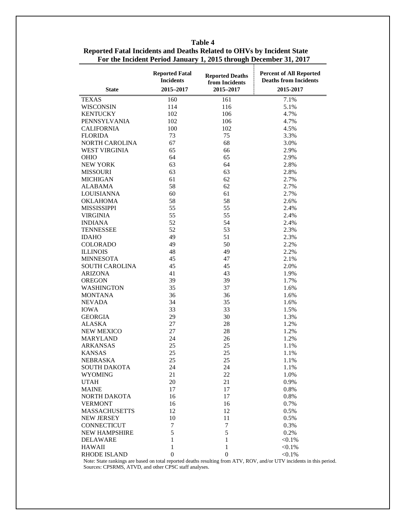| <b>State</b>                    | <b>Reported Fatal</b><br><b>Incidents</b><br>2015-2017 | <b>Reported Deaths</b><br>from Incidents<br>2015-2017 | <b>Percent of All Reported</b><br><b>Deaths from Incidents</b><br>2015-2017 |
|---------------------------------|--------------------------------------------------------|-------------------------------------------------------|-----------------------------------------------------------------------------|
| <b>TEXAS</b>                    | 160                                                    | 161                                                   | 7.1%                                                                        |
| <b>WISCONSIN</b>                | 114                                                    | 116                                                   | 5.1%                                                                        |
| <b>KENTUCKY</b>                 | 102                                                    | 106                                                   | 4.7%                                                                        |
| PENNSYLVANIA                    | 102                                                    | 106                                                   | 4.7%                                                                        |
| <b>CALIFORNIA</b>               | 100                                                    | 102                                                   | 4.5%                                                                        |
| <b>FLORIDA</b>                  | 73                                                     | 75                                                    | 3.3%                                                                        |
| NORTH CAROLINA                  | 67                                                     | 68                                                    | 3.0%                                                                        |
| <b>WEST VIRGINIA</b>            | 65                                                     | 66                                                    | 2.9%                                                                        |
| <b>OHIO</b>                     | 64                                                     | 65                                                    | 2.9%                                                                        |
| <b>NEW YORK</b>                 | 63                                                     | 64                                                    | 2.8%                                                                        |
| <b>MISSOURI</b>                 | 63                                                     | 63                                                    | 2.8%                                                                        |
| <b>MICHIGAN</b>                 | 61                                                     | 62                                                    | 2.7%                                                                        |
| <b>ALABAMA</b>                  | 58                                                     | 62                                                    | 2.7%                                                                        |
| LOUISIANNA                      | 60                                                     | 61                                                    | 2.7%                                                                        |
| <b>OKLAHOMA</b>                 | 58                                                     | 58                                                    | 2.6%                                                                        |
| <b>MISSISSIPPI</b>              | 55                                                     | 55                                                    | 2.4%                                                                        |
| <b>VIRGINIA</b>                 | 55                                                     | 55                                                    | 2.4%                                                                        |
| <b>INDIANA</b>                  | 52                                                     | 54                                                    | 2.4%                                                                        |
| <b>TENNESSEE</b>                | 52                                                     | 53                                                    | 2.3%                                                                        |
|                                 | 49                                                     |                                                       |                                                                             |
| <b>IDAHO</b><br><b>COLORADO</b> | 49                                                     | 51                                                    | 2.3%                                                                        |
|                                 |                                                        | 50                                                    | 2.2%                                                                        |
| <b>ILLINOIS</b>                 | 48                                                     | 49                                                    | 2.2%                                                                        |
| <b>MINNESOTA</b>                | 45                                                     | 47                                                    | 2.1%                                                                        |
| <b>SOUTH CAROLINA</b>           | 45                                                     | 45                                                    | 2.0%                                                                        |
| <b>ARIZONA</b>                  | 41                                                     | 43                                                    | 1.9%                                                                        |
| <b>OREGON</b>                   | 39                                                     | 39                                                    | 1.7%                                                                        |
| <b>WASHINGTON</b>               | 35                                                     | 37                                                    | 1.6%                                                                        |
| <b>MONTANA</b>                  | 36                                                     | 36                                                    | 1.6%                                                                        |
| <b>NEVADA</b>                   | 34                                                     | 35                                                    | 1.6%                                                                        |
| <b>IOWA</b>                     | 33                                                     | 33                                                    | 1.5%                                                                        |
| <b>GEORGIA</b>                  | 29                                                     | 30                                                    | 1.3%                                                                        |
| ALASKA                          | 27                                                     | 28                                                    | 1.2%                                                                        |
| <b>NEW MEXICO</b>               | 27                                                     | 28                                                    | 1.2%                                                                        |
| <b>MARYLAND</b>                 | 24                                                     | 26                                                    | 1.2%                                                                        |
| <b>ARKANSAS</b>                 | 25                                                     | 25                                                    | 1.1%                                                                        |
| <b>KANSAS</b>                   | 25                                                     | 25                                                    | 1.1%                                                                        |
| NEBRASKA                        | 25                                                     | 25                                                    | 1.1%                                                                        |
| <b>SOUTH DAKOTA</b>             | 24                                                     | 24                                                    | 1.1%                                                                        |
| <b>WYOMING</b>                  | 21                                                     | $22\,$                                                | 1.0%                                                                        |
| <b>UTAH</b>                     | 20                                                     | 21                                                    | 0.9%                                                                        |
| <b>MAINE</b>                    | 17                                                     | 17                                                    | 0.8%                                                                        |
| <b>NORTH DAKOTA</b>             | 16                                                     | 17                                                    | 0.8%                                                                        |
| <b>VERMONT</b>                  | 16                                                     | 16                                                    | 0.7%                                                                        |
| <b>MASSACHUSETTS</b>            | 12                                                     | 12                                                    | 0.5%                                                                        |
| <b>NEW JERSEY</b>               | 10                                                     | 11                                                    | 0.5%                                                                        |
| CONNECTICUT                     | 7                                                      | 7                                                     | 0.3%                                                                        |
| NEW HAMPSHIRE                   | 5                                                      | 5                                                     | 0.2%                                                                        |
| <b>DELAWARE</b>                 | 1                                                      | $\mathbf{1}$                                          | $< 0.1\%$                                                                   |
| HAWAII                          | 1                                                      | $\mathbf{1}$                                          | $< 0.1\%$                                                                   |
| <b>RHODE ISLAND</b>             | $\mathbf{0}$                                           | $\boldsymbol{0}$                                      | $< 0.1\%$                                                                   |

**Table 4 Reported Fatal Incidents and Deaths Related to OHVs by Incident State For the Incident Period January 1, 2015 through December 31, 2017**

Note: State rankings are based on total reported deaths resulting from ATV, ROV, and/or UTV incidents in this period. Sources: CPSRMS, ATVD, and other CPSC staff analyses.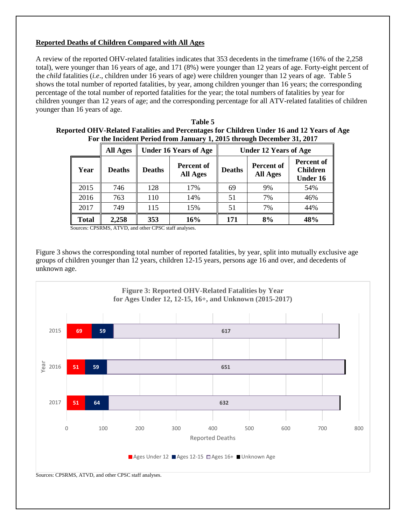#### **Reported Deaths of Children Compared with All Ages**

A review of the reported OHV-related fatalities indicates that 353 decedents in the timeframe (16% of the 2,258 total), were younger than 16 years of age, and 171 (8%) were younger than 12 years of age. Forty-eight percent of the *child* fatalities (*i.e*., children under 16 years of age) were children younger than 12 years of age. Table 5 shows the total number of reported fatalities, by year, among children younger than 16 years; the corresponding percentage of the total number of reported fatalities for the year; the total numbers of fatalities by year for children younger than 12 years of age; and the corresponding percentage for all ATV-related fatalities of children younger than 16 years of age.

| Table 5                                                                                   |
|-------------------------------------------------------------------------------------------|
| Reported OHV-Related Fatalities and Percentages for Children Under 16 and 12 Years of Age |
| For the Incident Period from January 1, 2015 through December 31, 2017                    |

|              | <b>All Ages</b> |               | <b>Under 16 Years of Age</b>  |               | <b>Under 12 Years of Age</b>  |                                                         |
|--------------|-----------------|---------------|-------------------------------|---------------|-------------------------------|---------------------------------------------------------|
| Year         | <b>Deaths</b>   | <b>Deaths</b> | Percent of<br><b>All Ages</b> | <b>Deaths</b> | Percent of<br><b>All Ages</b> | <b>Percent of</b><br><b>Children</b><br><b>Under 16</b> |
| 2015         | 746             | 128           | 17%                           | 69            | 9%                            | 54%                                                     |
| 2016         | 763             | 110           | 14%                           | 51            | 7%                            | 46%                                                     |
| 2017         | 749             | 115           | 15%                           | 51            | 7%                            | 44%                                                     |
| <b>Total</b> | 2,258           | <b>353</b>    | 16%                           | 171           | 8%                            | 48%                                                     |

Sources: CPSRMS, ATVD, and other CPSC staff analyses.

Figure 3 shows the corresponding total number of reported fatalities, by year, split into mutually exclusive age groups of children younger than 12 years, children 12-15 years, persons age 16 and over, and decedents of unknown age.

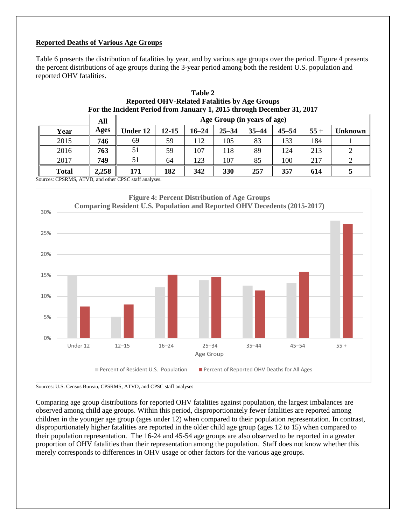#### **Reported Deaths of Various Age Groups**

Table 6 presents the distribution of fatalities by year, and by various age groups over the period. Figure 4 presents the percent distributions of age groups during the 3-year period among both the resident U.S. population and reported OHV fatalities.

|              | All   |          | Age Group (in years of age) |           |           |           |           |       |         |
|--------------|-------|----------|-----------------------------|-----------|-----------|-----------|-----------|-------|---------|
| Year         | Ages  | Under 12 | 12-15                       | $16 - 24$ | $25 - 34$ | $35 - 44$ | $45 - 54$ | $55+$ | Unknown |
| 2015         | 746   | 69       | 59                          | 112       | 105       | 83        | 133       | 184   |         |
| 2016         | 763   | 51       | 59                          | 107       | 118       | 89        | 124       | 213   |         |
| 2017         | 749   | 51       | 64                          | 123       | 107       | 85        | 100       | 217   |         |
| <b>Total</b> | 2,258 | 171      | 182                         | 342       | 330       | 257       | 357       | 614   |         |

| Table 2                                                                |
|------------------------------------------------------------------------|
| <b>Reported OHV-Related Fatalities by Age Groups</b>                   |
| For the Incident Period from January 1, 2015 through December 31, 2017 |

Sources: CPSRMS, ATVD, and other CPSC staff analyses.



Sources: U.S. Census Bureau, CPSRMS, ATVD, and CPSC staff analyses

Comparing age group distributions for reported OHV fatalities against population, the largest imbalances are observed among child age groups. Within this period, disproportionately fewer fatalities are reported among children in the younger age group (ages under 12) when compared to their population representation. In contrast, disproportionately higher fatalities are reported in the older child age group (ages 12 to 15) when compared to their population representation. The 16-24 and 45-54 age groups are also observed to be reported in a greater proportion of OHV fatalities than their representation among the population. Staff does not know whether this merely corresponds to differences in OHV usage or other factors for the various age groups.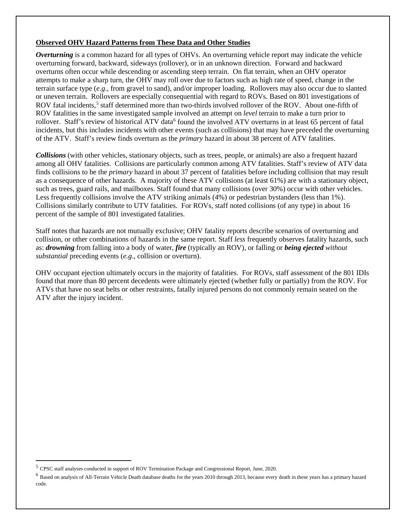#### <span id="page-12-1"></span>**Observed OHV Hazard Patterns from These Data and Other Studies**

*Overturning* is a common hazard for all types of OHVs. An overturning vehicle report may indicate the vehicle overturning forward, backward, sideways (rollover), or in an unknown direction. Forward and backward overturns often occur while descending or ascending steep terrain. On flat terrain, when an OHV operator attempts to make a sharp turn, the OHV may roll over due to factors such as high rate of speed, change in the terrain surface type (*e.g*., from gravel to sand), and/or improper loading. Rollovers may also occur due to slanted or uneven terrain. Rollovers are especially consequential with regard to ROVs. Based on 801 investigations of ROV fatal incidents,<sup>[5](#page-12-0)</sup> staff determined more than two-thirds involved rollover of the ROV. About one-fifth of ROV fatalities in the same investigated sample involved an attempt on *level* terrain to make a turn prior to rollover. Staff's review of historical ATV data<sup>[6](#page-12-1)</sup> found the involved ATV overturns in at least 65 percent of fatal incidents, but this includes incidents with other events (such as collisions) that may have preceded the overturning of the ATV. Staff's review finds overturn as the *primary* hazard in about 38 percent of ATV fatalities.

*Collisions* (with other vehicles, stationary objects, such as trees, people, or animals) are also a frequent hazard among all OHV fatalities. Collisions are particularly common among ATV fatalities. Staff's review of ATV data finds collisions to be the *primary* hazard in about 37 percent of fatalities before including collision that may result as a consequence of other hazards. A majority of these ATV collisions (at least 61%) are with a stationary object, such as trees, guard rails, and mailboxes. Staff found that many collisions (over 30%) occur with other vehicles. Less frequently collisions involve the ATV striking animals (4%) or pedestrian bystanders (less than 1%). Collisions similarly contribute to UTV fatalities. For ROVs, staff noted collisions (of any type) in about 16 percent of the sample of 801 investigated fatalities.

Staff notes that hazards are not mutually exclusive; OHV fatality reports describe scenarios of overturning and collision, or other combinations of hazards in the same report. Staff *less* frequently observes fatality hazards, such as: *drowning* from falling into a body of water, *fire* (typically an ROV), or falling or *being ejected without substantial* preceding events (*e.g*., collision or overturn).

OHV occupant ejection ultimately occurs in the majority of fatalities. For ROVs, staff assessment of the 801 IDIs found that more than 80 percent decedents were ultimately ejected (whether fully or partially) from the ROV. For ATVs that have no seat belts or other restraints, fatally injured persons do not commonly remain seated on the ATV after the injury incident.

 $\ddot{\phantom{a}}$ 

<span id="page-12-0"></span><sup>5</sup> CPSC staff analyses conducted in support of ROV Termination Package and Congressional Report, June, 2020.

<sup>&</sup>lt;sup>6</sup> Based on analysis of All-Terrain Vehicle Death database deaths for the years 2010 through 2013, because every death in these years has a primary hazard code.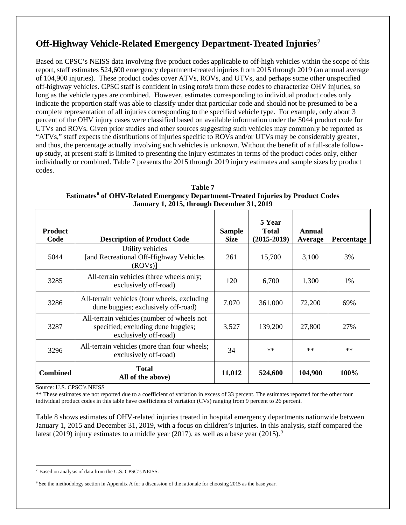# **Off-Highway Vehicle-Related Emergency Department-Treated Injuries[7](#page-13-0)**

Based on CPSC's NEISS data involving five product codes applicable to off-high vehicles within the scope of this report, staff estimates 524,600 emergency department-treated injuries from 2015 through 2019 (an annual average of 104,900 injuries). These product codes cover ATVs, ROVs, and UTVs, and perhaps some other unspecified off-highway vehicles. CPSC staff is confident in using *totals* from these codes to characterize OHV injuries, so long as the vehicle types are combined. However, estimates corresponding to individual product codes only indicate the proportion staff was able to classify under that particular code and should not be presumed to be a complete representation of all injuries corresponding to the specified vehicle type. For example, only about 3 percent of the OHV injury cases were classified based on available information under the 5044 product code for UTVs and ROVs. Given prior studies and other sources suggesting such vehicles may commonly be reported as "ATVs," staff expects the distributions of injuries specific to ROVs and/or UTVs may be considerably greater, and thus, the percentage actually involving such vehicles is unknown. Without the benefit of a full-scale followup study, at present staff is limited to presenting the injury estimates in terms of the product codes only, either individually or combined. Table 7 presents the 2015 through 2019 injury estimates and sample sizes by product codes.

| <b>Product</b><br>Code | <b>Description of Product Code</b>                                                                        | <b>Sample</b><br><b>Size</b> | 5 Year<br><b>Total</b><br>$(2015-2019)$ | Annual<br>Average | Percentage |
|------------------------|-----------------------------------------------------------------------------------------------------------|------------------------------|-----------------------------------------|-------------------|------------|
| 5044                   | Utility vehicles<br>[and Recreational Off-Highway Vehicles<br>$(ROVs)$ ]                                  | 261                          | 15,700                                  | 3,100             | 3%         |
| 3285                   | All-terrain vehicles (three wheels only;<br>exclusively off-road)                                         | 120                          | 6,700                                   | 1,300             | 1%         |
| 3286                   | All-terrain vehicles (four wheels, excluding<br>dune buggies; exclusively off-road)                       | 7,070                        | 361,000                                 | 72,200            | 69%        |
| 3287                   | All-terrain vehicles (number of wheels not<br>specified; excluding dune buggies;<br>exclusively off-road) | 3,527                        | 139,200                                 | 27,800            | 27%        |
| 3296                   | All-terrain vehicles (more than four wheels;<br>exclusively off-road)                                     | 34                           | $**$                                    | $**$              | **         |
| <b>Combined</b>        | <b>Total</b><br>All of the above)                                                                         | 11,012                       | 524,600                                 | 104,900           | 100%       |

**Table 7 Estimates[8](#page-13-1) of OHV-Related Emergency Department-Treated Injuries by Product Codes January 1, 2015, through December 31, 2019**

Source: U.S. CPSC's NEISS

\*\* These estimates are not reported due to a coefficient of variation in excess of 33 percent. The estimates reported for the other four individual product codes in this table have coefficients of variation (CVs) ranging from 9 percent to 26 percent.

Table 8 shows estimates of OHV-related injuries treated in hospital emergency departments nationwide between January 1, 2015 and December 31, 2019, with a focus on children's injuries. In this analysis, staff compared the latest (201[9](#page-13-2)) injury estimates to a middle year (2017), as well as a base year (2015).<sup>9</sup>

<span id="page-13-0"></span> $\overline{a}$ <sup>7</sup> Based on analysis of data from the U.S. CPSC's NEISS.

<span id="page-13-2"></span><span id="page-13-1"></span><sup>9</sup> See the methodology section in Appendix A for a discussion of the rationale for choosing 2015 as the base year.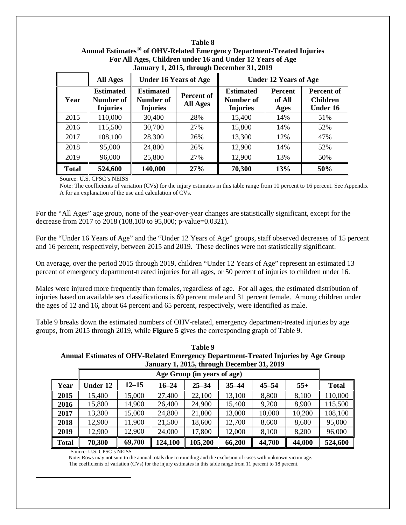| For All Ages, Children under 16 and Under 12 Years of Age<br>January 1, 2015, through December 31, 2019 |                                                  |                                                  |                        |                                                  |                                  |                                                  |  |  |  |  |  |  |
|---------------------------------------------------------------------------------------------------------|--------------------------------------------------|--------------------------------------------------|------------------------|--------------------------------------------------|----------------------------------|--------------------------------------------------|--|--|--|--|--|--|
|                                                                                                         | <b>All Ages</b>                                  | <b>Under 16 Years of Age</b>                     |                        | <b>Under 12 Years of Age</b>                     |                                  |                                                  |  |  |  |  |  |  |
| Year                                                                                                    | <b>Estimated</b><br>Number of<br><b>Injuries</b> | <b>Estimated</b><br>Number of<br><b>Injuries</b> | Percent of<br>All Ages | <b>Estimated</b><br>Number of<br><b>Injuries</b> | <b>Percent</b><br>of All<br>Ages | Percent of<br><b>Children</b><br><b>Under 16</b> |  |  |  |  |  |  |
| 2015                                                                                                    | 110,000                                          | 30,400                                           | 28%                    | 15,400                                           | 14%                              | 51%                                              |  |  |  |  |  |  |
| 2016                                                                                                    | 115,500                                          | 30,700                                           | 27%                    | 15,800                                           | 14%                              | 52%                                              |  |  |  |  |  |  |
| 2017                                                                                                    | 108,100                                          | 28,300                                           | 26%                    | 13,300                                           | 12%                              | 47%                                              |  |  |  |  |  |  |
| 2018                                                                                                    | 95,000                                           | 24,800                                           | 26%                    | 12,900                                           | 14%                              | 52%                                              |  |  |  |  |  |  |
| 2019                                                                                                    | 96,000                                           | 25,800                                           | 27%                    | 12,900                                           | 13%                              | 50%                                              |  |  |  |  |  |  |
| <b>Total</b>                                                                                            | 524,600                                          | 140,000                                          | 27%                    | 70,300                                           | 13%                              | 50%                                              |  |  |  |  |  |  |

## **Table 8 Annual Estimates[10](#page-14-0) of OHV-Related Emergency Department-Treated Injuries For All Ages, Children under 16 and Under 12 Years of Age**

Source: U.S. CPSC's NEISS

Note: The coefficients of variation (CVs) for the injury estimates in this table range from 10 percent to 16 percent. See Appendix A for an explanation of the use and calculation of CVs.

For the "All Ages" age group, none of the year-over-year changes are statistically significant, except for the decrease from 2017 to 2018 (108,100 to 95,000; p-value=0.0321).

For the "Under 16 Years of Age" and the "Under 12 Years of Age" groups, staff observed decreases of 15 percent and 16 percent, respectively, between 2015 and 2019. These declines were not statistically significant.

On average, over the period 2015 through 2019, children "Under 12 Years of Age" represent an estimated 13 percent of emergency department-treated injuries for all ages, or 50 percent of injuries to children under 16.

Males were injured more frequently than females, regardless of age. For all ages, the estimated distribution of injuries based on available sex classifications is 69 percent male and 31 percent female. Among children under the ages of 12 and 16, about 64 percent and 65 percent, respectively, were identified as male.

Table 9 breaks down the estimated numbers of OHV-related, emergency department-treated injuries by age groups, from 2015 through 2019, while **Figure 5** gives the corresponding graph of Table 9.

**Table 9 Annual Estimates of OHV-Related Emergency Department-Treated Injuries by Age Group January 1, 2015, through December 31, 2019**

|              | Age Group (in years of age) |           |           |           |           |           |        |              |  |  |
|--------------|-----------------------------|-----------|-----------|-----------|-----------|-----------|--------|--------------|--|--|
| Year         | <b>Under 12</b>             | $12 - 15$ | $16 - 24$ | $25 - 34$ | $35 - 44$ | $45 - 54$ | $55+$  | <b>Total</b> |  |  |
| 2015         | 15,400                      | 15,000    | 27,400    | 22,100    | 13,100    | 8,800     | 8,100  | 110,000      |  |  |
| 2016         | 15,800                      | 14,900    | 26,400    | 24,900    | 15,400    | 9,200     | 8,900  | 115,500      |  |  |
| 2017         | 13,300                      | 15,000    | 24,800    | 21,800    | 13,000    | 10,000    | 10,200 | 108,100      |  |  |
| 2018         | 12,900                      | 11,900    | 21,500    | 18,600    | 12,700    | 8,600     | 8,600  | 95,000       |  |  |
| 2019         | 12,900                      | 12,900    | 24,000    | 17,800    | 12,000    | 8,100     | 8,200  | 96,000       |  |  |
| <b>Total</b> | 70,300                      | 69,700    | 124,100   | 105,200   | 66,200    | 44,700    | 44,000 | 524,600      |  |  |

Source: U.S. CPSC's NEISS

<span id="page-14-0"></span>-

 Note: Rows may not sum to the annual totals due to rounding and the exclusion of cases with unknown victim age. The coefficients of variation (CVs) for the injury estimates in this table range from 11 percent to 18 percent.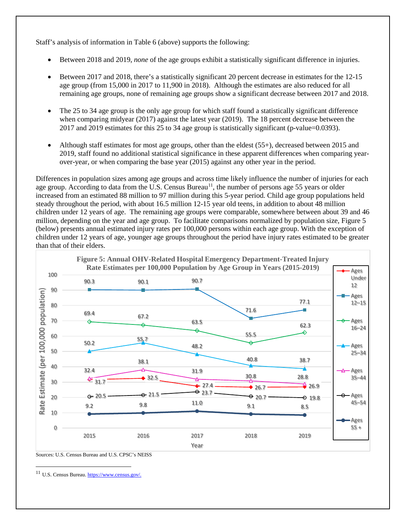Staff's analysis of information in Table 6 (above) supports the following:

- Between 2018 and 2019, *none* of the age groups exhibit a statistically significant difference in injuries.
- Between 2017 and 2018, there's a statistically significant 20 percent decrease in estimates for the 12-15 age group (from 15,000 in 2017 to 11,900 in 2018). Although the estimates are also reduced for all remaining age groups, none of remaining age groups show a significant decrease between 2017 and 2018.
- The 25 to 34 age group is the only age group for which staff found a statistically significant difference when comparing midyear (2017) against the latest year (2019). The 18 percent decrease between the 2017 and 2019 estimates for this 25 to 34 age group is statistically significant (p-value=0.0393).
- Although staff estimates for most age groups, other than the eldest (55+), decreased between 2015 and 2019, staff found no additional statistical significance in these apparent differences when comparing yearover-year, or when comparing the base year (2015) against any other year in the period.

Differences in population sizes among age groups and across time likely influence the number of injuries for each age group. According to data from the U.S. Census Bureau<sup>[11](#page-15-0)</sup>, the number of persons age 55 years or older increased from an estimated 88 million to 97 million during this 5-year period. Child age group populations held steady throughout the period, with about 16.5 million 12-15 year old teens, in addition to about 48 million children under 12 years of age. The remaining age groups were comparable, somewhere between about 39 and 46 million, depending on the year and age group. To facilitate comparisons normalized by population size, Figure 5 (below) presents annual estimated injury rates per 100,000 persons within each age group. With the exception of children under 12 years of age, younger age groups throughout the period have injury rates estimated to be greater than that of their elders.



Sources: U.S. Census Bureau and U.S. CPSC's NEISS

 $\overline{a}$ 

<span id="page-15-0"></span><sup>11</sup> U.S. Census Bureau. https://www.census.gov/.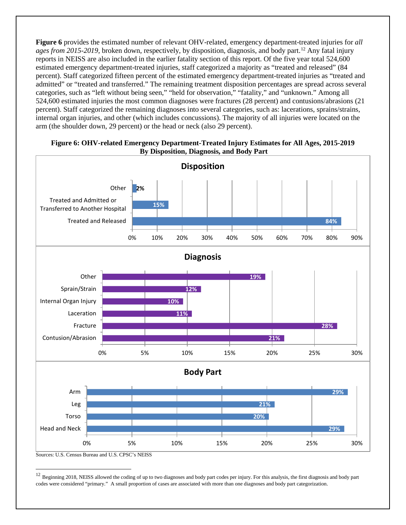**Figure 6** provides the estimated number of relevant OHV-related, emergency department-treated injuries for *all ages from 2015-2019,* broken down, respectively, by disposition, diagnosis, and body part.[12](#page-16-0) Any fatal injury reports in NEISS are also included in the earlier fatality section of this report. Of the five year total 524,600 estimated emergency department-treated injuries, staff categorized a majority as "treated and released" (84 percent). Staff categorized fifteen percent of the estimated emergency department-treated injuries as "treated and admitted" or "treated and transferred." The remaining treatment disposition percentages are spread across several categories, such as "left without being seen," "held for observation," "fatality," and "unknown." Among all 524,600 estimated injuries the most common diagnoses were fractures (28 percent) and contusions/abrasions (21 percent). Staff categorized the remaining diagnoses into several categories, such as: lacerations, sprains/strains, internal organ injuries, and other (which includes concussions). The majority of all injuries were located on the arm (the shoulder down, 29 percent) or the head or neck (also 29 percent).

#### **Figure 6: OHV-related Emergency Department-Treated Injury Estimates for All Ages, 2015-2019 By Disposition, Diagnosis, and Body Part**



<span id="page-16-0"></span><sup>12</sup> Beginning 2018, NEISS allowed the coding of up to two diagnoses and body part codes per injury. For this analysis, the first diagnosis and body part codes were considered "primary." A small proportion of cases are associated with more than one diagnoses and body part categorization.

 $\overline{a}$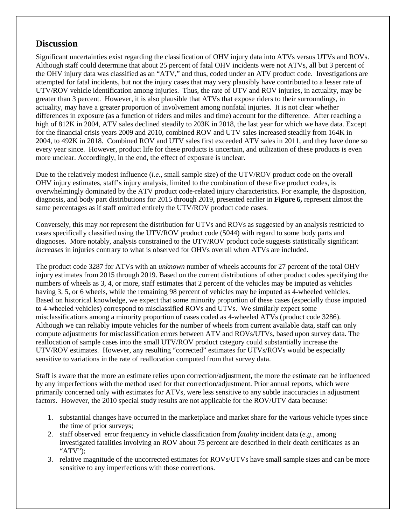### **Discussion**

Significant uncertainties exist regarding the classification of OHV injury data into ATVs versus UTVs and ROVs. Although staff could determine that about 25 percent of fatal OHV incidents were not ATVs, all but 3 percent of the OHV injury data was classified as an "ATV," and thus, coded under an ATV product code. Investigations are attempted for fatal incidents, but not the injury cases that may very plausibly have contributed to a lesser rate of UTV/ROV vehicle identification among injuries. Thus, the rate of UTV and ROV injuries, in actuality, may be greater than 3 percent. However, it is also plausible that ATVs that expose riders to their surroundings, in actuality, may have a greater proportion of involvement among nonfatal injuries. It is not clear whether differences in exposure (as a function of riders and miles and time) account for the difference. After reaching a high of 812K in 2004, ATV sales declined steadily to 203K in 2018, the last year for which we have data. Except for the financial crisis years 2009 and 2010, combined ROV and UTV sales increased steadily from 164K in 2004, to 492K in 2018. Combined ROV and UTV sales first exceeded ATV sales in 2011, and they have done so every year since. However, product life for these products is uncertain, and utilization of these products is even more unclear. Accordingly, in the end, the effect of exposure is unclear.

Due to the relatively modest influence (*i.e*., small sample size) of the UTV/ROV product code on the overall OHV injury estimates, staff's injury analysis, limited to the combination of these five product codes, is overwhelmingly dominated by the ATV product code-related injury characteristics. For example, the disposition, diagnosis, and body part distributions for 2015 through 2019, presented earlier in **Figure 6,** represent almost the same percentages as if staff omitted entirely the UTV/ROV product code cases.

Conversely, this may *not* represent the distribution for UTVs and ROVs as suggested by an analysis restricted to cases specifically classified using the UTV/ROV product code (5044) with regard to some body parts and diagnoses. More notably, analysis constrained to the UTV/ROV product code suggests statistically significant *increases* in injuries contrary to what is observed for OHVs overall when ATVs are included.

The product code 3287 for ATVs with an *unknown* number of wheels accounts for 27 percent of the total OHV injury estimates from 2015 through 2019. Based on the current distributions of other product codes specifying the numbers of wheels as 3, 4, or more, staff estimates that 2 percent of the vehicles may be imputed as vehicles having 3, 5, or 6 wheels, while the remaining 98 percent of vehicles may be imputed as 4-wheeled vehicles. Based on historical knowledge, we expect that some minority proportion of these cases (especially those imputed to 4-wheeled vehicles) correspond to misclassified ROVs and UTVs. We similarly expect some misclassifications among a minority proportion of cases coded as 4-wheeled ATVs (product code 3286). Although we can reliably impute vehicles for the number of wheels from current available data, staff can only compute adjustments for misclassification errors between ATV and ROVs/UTVs, based upon survey data. The reallocation of sample cases into the small UTV/ROV product category could substantially increase the UTV/ROV estimates. However, any resulting "corrected" estimates for UTVs/ROVs would be especially sensitive to variations in the rate of reallocation computed from that survey data.

Staff is aware that the more an estimate relies upon correction/adjustment, the more the estimate can be influenced by any imperfections with the method used for that correction/adjustment. Prior annual reports, which were primarily concerned only with estimates for ATVs, were less sensitive to any subtle inaccuracies in adjustment factors. However, the 2010 special study results are not applicable for the ROV/UTV data because:

- 1. substantial changes have occurred in the marketplace and market share for the various vehicle types since the time of prior surveys;
- 2. staff observed error frequency in vehicle classification from *fatality* incident data (*e.g*., among investigated fatalities involving an ROV about 75 percent are described in their death certificates as an "ATV");
- 3. relative magnitude of the uncorrected estimates for ROVs/UTVs have small sample sizes and can be more sensitive to any imperfections with those corrections.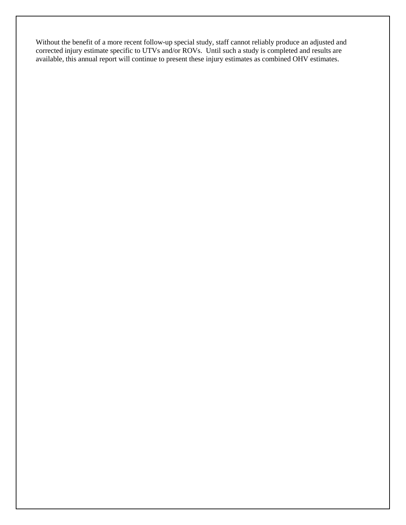Without the benefit of a more recent follow-up special study, staff cannot reliably produce an adjusted and corrected injury estimate specific to UTVs and/or ROVs. Until such a study is completed and results are available, this annual report will continue to present these injury estimates as combined OHV estimates.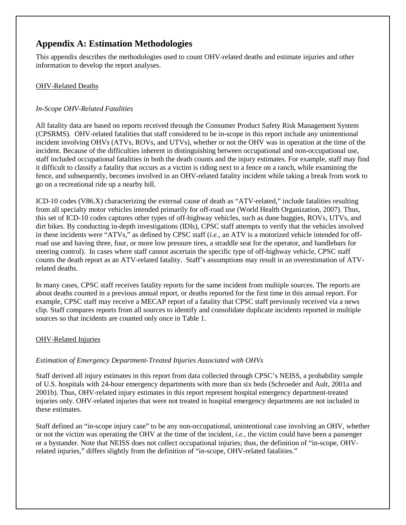### **Appendix A: Estimation Methodologies**

This appendix describes the methodologies used to count OHV-related deaths and estimate injuries and other information to develop the report analyses.

#### OHV-Related Deaths

#### *In-Scope OHV-Related Fatalities*

All fatality data are based on reports received through the Consumer Product Safety Risk Management System (CPSRMS). OHV-related fatalities that staff considered to be in-scope in this report include any unintentional incident involving OHVs (ATVs, ROVs, and UTVs), whether or not the OHV was in operation at the time of the incident. Because of the difficulties inherent in distinguishing between occupational and non-occupational use, staff included occupational fatalities in both the death counts and the injury estimates. For example, staff may find it difficult to classify a fatality that occurs as a victim is riding next to a fence on a ranch, while examining the fence, and subsequently, becomes involved in an OHV-related fatality incident while taking a break from work to go on a recreational ride up a nearby hill.

ICD-10 codes (V86.X) characterizing the external cause of death as "ATV-related," include fatalities resulting from all specialty motor vehicles intended primarily for off-road use (World Health Organization, 2007). Thus, this set of ICD-10 codes captures other types of off-highway vehicles, such as dune buggies, ROVs, UTVs, and dirt bikes. By conducting in-depth investigations (IDIs), CPSC staff attempts to verify that the vehicles involved in these incidents were "ATVs," as defined by CPSC staff (*i.e*., an ATV is a motorized vehicle intended for offroad use and having three, four, or more low pressure tires, a straddle seat for the operator, and handlebars for steering control). In cases where staff cannot ascertain the specific type of off-highway vehicle, CPSC staff counts the death report as an ATV-related fatality. Staff's assumptions may result in an overestimation of ATVrelated deaths.

In many cases, CPSC staff receives fatality reports for the same incident from multiple sources. The reports are about deaths counted in a previous annual report, or deaths reported for the first time in this annual report. For example, CPSC staff may receive a MECAP report of a fatality that CPSC staff previously received via a news clip. Staff compares reports from all sources to identify and consolidate duplicate incidents reported in multiple sources so that incidents are counted only once in Table 1.

### OHV-Related Injuries

### *Estimation of Emergency Department-Treated Injuries Associated with OHVs*

Staff derived all injury estimates in this report from data collected through CPSC's NEISS, a probability sample of U.S. hospitals with 24-hour emergency departments with more than six beds (Schroeder and Ault, 2001a and 2001b). Thus, OHV-related injury estimates in this report represent hospital emergency department-treated injuries only. OHV-related injuries that were not treated in hospital emergency departments are not included in these estimates.

Staff defined an "in-scope injury case" to be any non-occupational, unintentional case involving an OHV, whether or not the victim was operating the OHV at the time of the incident, *i.e.*, the victim could have been a passenger or a bystander. Note that NEISS does not collect occupational injuries; thus, the definition of "in-scope, OHVrelated injuries," differs slightly from the definition of "in-scope, OHV-related fatalities."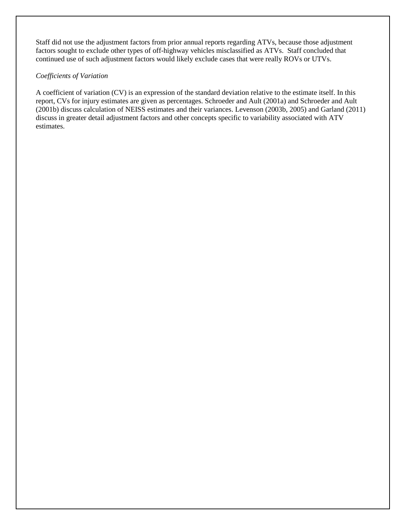Staff did not use the adjustment factors from prior annual reports regarding ATVs, because those adjustment factors sought to exclude other types of off-highway vehicles misclassified as ATVs. Staff concluded that continued use of such adjustment factors would likely exclude cases that were really ROVs or UTVs.

#### *Coefficients of Variation*

A coefficient of variation (CV) is an expression of the standard deviation relative to the estimate itself. In this report, CVs for injury estimates are given as percentages. Schroeder and Ault (2001a) and Schroeder and Ault (2001b) discuss calculation of NEISS estimates and their variances. Levenson (2003b, 2005) and Garland (2011) discuss in greater detail adjustment factors and other concepts specific to variability associated with ATV estimates.